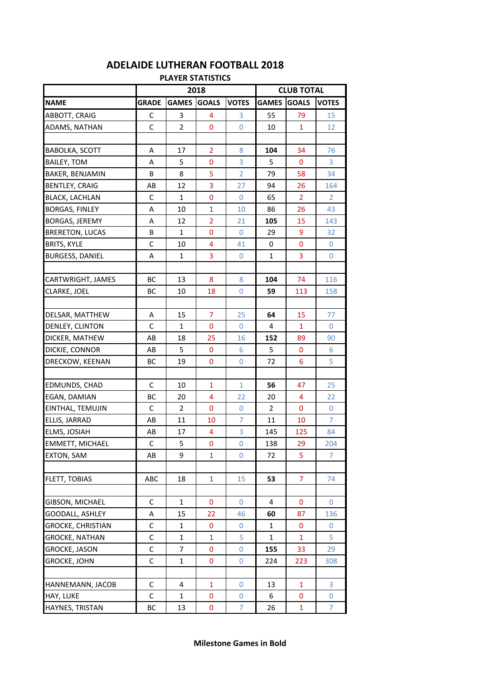| <b>PLAYER STATISTICS</b> |              |                |                |                |                |                   |                |  |  |
|--------------------------|--------------|----------------|----------------|----------------|----------------|-------------------|----------------|--|--|
|                          |              | 2018           |                |                |                | <b>CLUB TOTAL</b> |                |  |  |
| <b>NAME</b>              | <b>GRADE</b> | <b>GAMES</b>   | <b>GOALS</b>   | <b>VOTES</b>   | <b>GAMES</b>   | <b>GOALS</b>      | <b>VOTES</b>   |  |  |
| ABBOTT, CRAIG            | C            | 3              | 4              | 3              | 55             | 79                | 15             |  |  |
| ADAMS, NATHAN            | C            | $\overline{2}$ | 0              | 0              | 10             | $\mathbf{1}$      | 12             |  |  |
|                          |              |                |                |                |                |                   |                |  |  |
| <b>BABOLKA, SCOTT</b>    | Α            | 17             | $\overline{2}$ | 8              | 104            | 34                | 76             |  |  |
| <b>BAILEY, TOM</b>       | A            | 5              | $\bf{0}$       | 3              | 5              | 0                 | 3              |  |  |
| <b>BAKER, BENJAMIN</b>   | B            | 8              | 5              | $\overline{2}$ | 79             | 58                | 34             |  |  |
| <b>BENTLEY, CRAIG</b>    | AB           | 12             | 3              | 27             | 94             | 26                | 164            |  |  |
| <b>BLACK, LACHLAN</b>    | C            | $\mathbf{1}$   | 0              | $\overline{0}$ | 65             | 2                 | $\overline{2}$ |  |  |
| <b>BORGAS, FINLEY</b>    | Α            | 10             | $\mathbf{1}$   | 10             | 86             | 26                | 43             |  |  |
| <b>BORGAS, JEREMY</b>    | A            | 12             | $\overline{2}$ | 21             | 105            | 15                | 143            |  |  |
| <b>BRERETON, LUCAS</b>   | В            | 1              | 0              | 0              | 29             | 9                 | 32             |  |  |
| <b>BRITS, KYLE</b>       | $\mathsf C$  | 10             | 4              | 41             | 0              | 0                 | 0              |  |  |
| <b>BURGESS, DANIEL</b>   | Α            | 1              | 3              | 0              | $\mathbf 1$    | 3                 | 0              |  |  |
|                          |              |                |                |                |                |                   |                |  |  |
| CARTWRIGHT, JAMES        | ВC           | 13             | 8              | 8              | 104            | 74                | 116            |  |  |
| CLARKE, JOEL             | ВC           | 10             | 18             | $\overline{0}$ | 59             | 113               | 158            |  |  |
|                          |              |                |                |                |                |                   |                |  |  |
| DELSAR, MATTHEW          | Α            | 15             | $\overline{7}$ | 25             | 64             | 15                | 77             |  |  |
| DENLEY, CLINTON          | C            | $\mathbf{1}$   | 0              | $\overline{0}$ | $\overline{4}$ | $\mathbf{1}$      | $\overline{0}$ |  |  |
| DICKER, MATHEW           | AB           | 18             | 25             | 16             | 152            | 89                | 90             |  |  |
| DICKIE, CONNOR           | AB           | 5              | 0              | 6              | 5              | 0                 | 6              |  |  |
| DRECKOW, KEENAN          | ВC           | 19             | 0              | $\overline{0}$ | 72             | 6                 | 5              |  |  |
|                          |              |                |                |                |                |                   |                |  |  |
| EDMUNDS, CHAD            | $\mathsf C$  | 10             | $\mathbf{1}$   | $\mathbf{1}$   | 56             | 47                | 25             |  |  |
| EGAN, DAMIAN             | ВC           | 20             | 4              | 22             | 20             | 4                 | 22             |  |  |
| EINTHAL, TEMUJIN         | $\mathsf C$  | $\overline{2}$ | 0              | 0              | $\overline{2}$ | $\mathbf{0}$      | $\mathbf{0}$   |  |  |
| ELLIS, JARRAD            | AB           | 11             | 10             | 7              | 11             | 10                | 7              |  |  |
| ELMS, JOSIAH             | AB           | 17             | 4              | 3              | 145            | 125               | 84             |  |  |
| <b>EMMETT, MICHAEL</b>   | C            | 5              | 0              | 0              | 138            | 29                | 204            |  |  |
| <b>EXTON, SAM</b>        | AB           | 9              | 1              | 0              | 72             | 5                 | $\overline{7}$ |  |  |
|                          |              |                |                |                |                |                   |                |  |  |
| FLETT, TOBIAS            | ABC          | 18             | $\mathbf{1}$   | 15             | 53             | $\overline{7}$    | 74             |  |  |
|                          |              |                |                |                |                |                   |                |  |  |
| GIBSON, MICHAEL          | C            | $\mathbf{1}$   | 0              | 0              | 4              | 0                 | 0              |  |  |
| GOODALL, ASHLEY          | Α            | 15             | 22             | 46             | 60             | 87                | 136            |  |  |
| <b>GROCKE, CHRISTIAN</b> | C            | 1              | 0              | 0              | 1              | 0                 | 0              |  |  |
| GROCKE, NATHAN           | С            | 1              | $\mathbf{1}$   | 5              | $\mathbf{1}$   | 1                 | 5              |  |  |
| GROCKE, JASON            | С            | 7              | 0              | 0              | 155            | 33                | 29             |  |  |
| GROCKE, JOHN             | $\mathsf C$  | 1              | 0              | $\mathbf 0$    | 224            | 223               | 308            |  |  |
|                          |              |                |                |                |                |                   |                |  |  |
| HANNEMANN, JACOB         | C            | 4              | $\mathbf{1}$   | 0              | 13             | $\mathbf{1}$      | 3              |  |  |
| HAY, LUKE                | C            | 1              | 0              | 0              | 6              | 0                 | 0              |  |  |
| HAYNES, TRISTAN          | ВC           | 13             | 0              | $\overline{7}$ | 26             | $\mathbf{1}$      | $\overline{7}$ |  |  |

## **ADELAIDE LUTHERAN FOOTBALL 2018**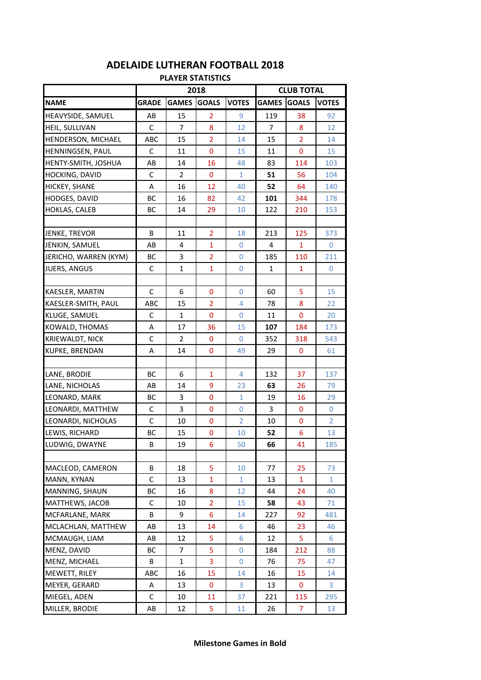| <b>PLAYER STATISTICS</b> |              |                |                |                |                   |                |                |  |  |
|--------------------------|--------------|----------------|----------------|----------------|-------------------|----------------|----------------|--|--|
|                          | 2018         |                |                |                | <b>CLUB TOTAL</b> |                |                |  |  |
| <b>NAME</b>              | <b>GRADE</b> | <b>GAMES</b>   | <b>GOALS</b>   | <b>VOTES</b>   | <b>GAMES</b>      | <b>GOALS</b>   | <b>VOTES</b>   |  |  |
| HEAVYSIDE, SAMUEL        | AB           | 15             | $\overline{2}$ | 9              | 119               | 38             | 92             |  |  |
| HEIL, SULLIVAN           | C            | $\overline{7}$ | 8              | 12             | $\overline{7}$    | 8              | 12             |  |  |
| HENDERSON, MICHAEL       | ABC          | 15             | $\overline{2}$ | 14             | 15                | $\overline{2}$ | 14             |  |  |
| HENNINGSEN, PAUL         | С            | 11             | $\bf{0}$       | 15             | 11                | $\mathbf{0}$   | 15             |  |  |
| HENTY-SMITH, JOSHUA      | AB           | 14             | 16             | 48             | 83                | 114            | 103            |  |  |
| <b>HOCKING, DAVID</b>    | C            | 2              | $\mathbf 0$    | 1              | 51                | 56             | 104            |  |  |
| <b>HICKEY, SHANE</b>     | A            | 16             | 12             | 40             | 52                | 64             | 140            |  |  |
| <b>HODGES, DAVID</b>     | BC           | 16             | 82             | 42             | 101               | 344            | 178            |  |  |
| HOKLAS, CALEB            | BC           | 14             | 29             | 10             | 122               | 210            | 153            |  |  |
|                          |              |                |                |                |                   |                |                |  |  |
| JENKE, TREVOR            | B            | 11             | $\overline{2}$ | 18             | 213               | 125            | 373            |  |  |
| JENKIN, SAMUEL           | AB           | 4              | $\mathbf{1}$   | 0              | 4                 | 1              | 0              |  |  |
| JERICHO, WARREN (KYM)    | ВC           | 3              | $\overline{2}$ | $\overline{0}$ | 185               | 110            | 211            |  |  |
| <b>JUERS, ANGUS</b>      | $\mathsf C$  | $\mathbf{1}$   | $\mathbf{1}$   | $\overline{0}$ | $\mathbf{1}$      | $\mathbf{1}$   | $\overline{0}$ |  |  |
|                          |              |                |                |                |                   |                |                |  |  |
| KAESLER, MARTIN          | C            | 6              | $\mathbf 0$    | 0              | 60                | 5              | 15             |  |  |
| KAESLER-SMITH, PAUL      | ABC          | 15             | $\overline{2}$ | $\overline{4}$ | 78                | 8              | 22             |  |  |
| <b>KLUGE, SAMUEL</b>     | C            | $\mathbf{1}$   | $\bf{0}$       | 0              | 11                | $\mathbf{0}$   | 20             |  |  |
| KOWALD, THOMAS           | A            | 17             | 36             | 15             | 107               | 184            | 173            |  |  |
| KRIEWALDT, NICK          | C            | 2              | 0              | 0              | 352               | 318            | 543            |  |  |
| <b>KUPKE, BRENDAN</b>    | Α            | 14             | $\mathbf{0}$   | 49             | 29                | 0              | 61             |  |  |
|                          |              |                |                |                |                   |                |                |  |  |
| LANE, BRODIE             | BC           | 6              | $\mathbf{1}$   | $\overline{4}$ | 132               | 37             | 137            |  |  |
| LANE, NICHOLAS           | AB           | 14             | 9              | 23             | 63                | 26             | 79             |  |  |
| LEONARD, MARK            | BC           | 3              | 0              | 1              | 19                | 16             | 29             |  |  |
| LEONARDI, MATTHEW        | $\mathsf C$  | 3              | $\mathbf{0}$   | $\overline{0}$ | 3                 | $\mathbf 0$    | $\overline{0}$ |  |  |
| LEONARDI, NICHOLAS       | C            | 10             | 0              | $\overline{2}$ | 10                | 0              | $\overline{2}$ |  |  |
| LEWIS, RICHARD           | ВC           | 15             | 0              | 10             | 52                | 6              | 13             |  |  |
| LUDWIG, DWAYNE           | B            | 19             | 6              | 50             | 66                | 41             | 185            |  |  |
|                          |              |                |                |                |                   |                |                |  |  |
| MACLEOD, CAMERON         | B            | 18             | 5              | 10             | 77                | 25             | 73             |  |  |
| MANN, KYNAN              | C            | 13             | 1              | 1              | 13                | 1              | $\mathbf{1}$   |  |  |
| MANNING, SHAUN           | ВC           | 16             | 8              | 12             | 44                | 24             | 40             |  |  |
| MATTHEWS, JACOB          | C            | 10             | $\overline{2}$ | 15             | 58                | 43             | 71             |  |  |
| MCFARLANE, MARK          | B            | 9              | 6              | 14             | 227               | 92             | 481            |  |  |
| MCLACHLAN, MATTHEW       | AB           | 13             | 14             | 6              | 46                | 23             | 46             |  |  |
| MCMAUGH, LIAM            | AB           | 12             | 5              | 6              | 12                | 5              | 6              |  |  |
| MENZ, DAVID              | ВC           | 7              | 5              | 0              | 184               | 212            | 88             |  |  |
| MENZ, MICHAEL            | В            | 1              | 3              | 0              | 76                | 75             | 47             |  |  |
| MEWETT, RILEY            | ABC          | 16             | 15             | 14             | 16                | 15             | 14             |  |  |
| MEYER, GERARD            | Α            | 13             | 0              | 3              | 13                | 0              | 3              |  |  |
| MIEGEL, ADEN             | С            | 10             | 11             | 37             | 221               | 115            | 295            |  |  |
| MILLER, BRODIE           | AB           | 12             | 5              | 11             | 26                | 7              | 13             |  |  |

## **ADELAIDE LUTHERAN FOOTBALL 2018**